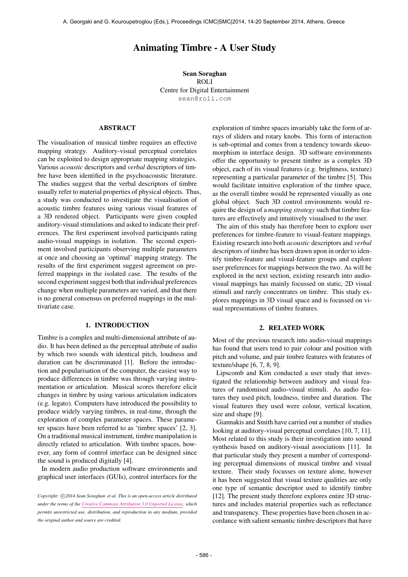# Animating Timbre - A User Study

Sean Soraghan ROLI Centre for Digital Entertainment [sean@roli.com](mailto:sean@roli.com)

## ABSTRACT

The visualisation of musical timbre requires an effective mapping strategy. Auditory-visual perceptual correlates can be exploited to design appropriate mapping strategies. Various *acoustic* descriptors and *verbal* descriptors of timbre have been identified in the psychoacoustic literature. The studies suggest that the verbal descriptors of timbre usually refer to material properties of physical objects. Thus, a study was conducted to investigate the visualisation of acoustic timbre features using various visual features of a 3D rendered object. Participants were given coupled auditory-visual stimulations and asked to indicate their preferences. The first experiment involved participants rating audio-visual mappings in isolation. The second experiment involved participants observing multiple parameters at once and choosing an 'optimal' mapping strategy. The results of the first experiment suggest agreement on preferred mappings in the isolated case. The results of the second experiment suggest both that individual preferences change when multiple parameters are varied, and that there is no general consensus on preferred mappings in the multivariate case.

## 1. INTRODUCTION

Timbre is a complex and multi-dimensional attribute of audio. It has been defined as the perceptual attribute of audio by which two sounds with identical pitch, loudness and duration can be discriminated [1]. Before the introduction and popularisation of the computer, the easiest way to produce differences in timbre was through varying instrumentation or articulation. Musical scores therefore elicit changes in timbre by using various articulation indicators (e.g. legato). Computers have introduced the possibility to produce widely varying timbres, in real-time, through the exploration of complex parameter spaces. These parameter spaces have been referred to as 'timbre spaces' [2, 3]. On a traditional musical instrument, timbre manipulation is directly related to articulation. With timbre spaces, however, any form of control interface can be designed since the sound is produced digitally [4].

In modern audio production software environments and graphical user interfaces (GUIs), control interfaces for the

exploration of timbre spaces invariably take the form of arrays of sliders and rotary knobs. This form of interaction is sub-optimal and comes from a tendency towards skeuomorphism in interface design. 3D software environments offer the opportunity to present timbre as a complex 3D object, each of its visual features (e.g. brightness, texture) representing a particular parameter of the timbre [5]. This would facilitate intuitive exploration of the timbre space, as the overall timbre would be represented visually as one global object. Such 3D control environments would require the design of a *mapping strategy* such that timbre features are effectively and intuitively visualised to the user.

The aim of this study has therefore been to explore user preferences for timbre-feature to visual-feature mappings. Existing research into both *acoustic* descriptors and *verbal* descriptors of timbre has been drawn upon in order to identify timbre-feature and visual-feature groups and explore user preferences for mappings between the two. As will be explored in the next section, existing research into audiovisual mappings has mainly focussed on static, 2D visual stimuli and rarely concentrates on timbre. This study explores mappings in 3D visual space and is focussed on visual representations of timbre features.

# 2. RELATED WORK

Most of the previous research into audio-visual mappings has found that users tend to pair colour and position with pitch and volume, and pair timbre features with features of texture/shape [6, 7, 8, 9].

Lipscomb and Kim conducted a user study that investigated the relationship between auditory and visual features of randomised audio-visual stimuli. As audio features they used pitch, loudness, timbre and duration. The visual features they used were colour, vertical location, size and shape [9].

Giannakis and Smith have carried out a number of studies looking at auditory-visual perceptual correlates [10, 7, 11]. Most related to this study is their investigation into sound synthesis based on auditory-visual associations [11]. In that particular study they present a number of corresponding perceptual dimensions of musical timbre and visual texture. Their study focusses on texture alone, however it has been suggested that visual texture qualities are only one type of semantic descriptor used to identify timbre [12]. The present study therefore explores entire 3D structures and includes material properties such as reflectance and transparency. These properties have been chosen in accordance with salient semantic timbre descriptors that have

Copyright:  $\bigcirc$ 2014 Sean Soraghan et al. This is an open-access article distributed *under the terms of the [Creative Commons Attribution 3.0 Unported License,](http://creativecommons.org/licenses/by/3.0/) which permits unrestricted use, distribution, and reproduction in any medium, provided the original author and source are credited.*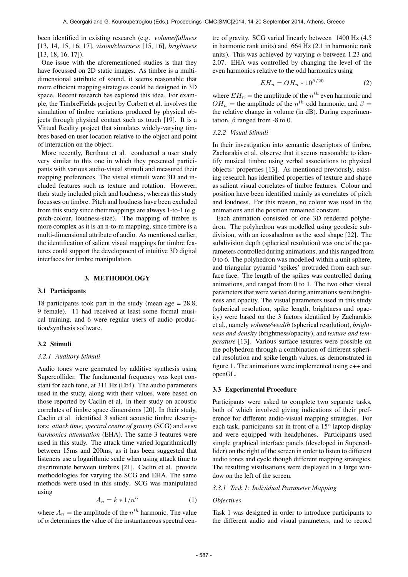been identified in existing research (e.g. *volume/fullness* [13, 14, 15, 16, 17], *vision/clearness* [15, 16], *brightness* [13, 18, 16, 17]).

One issue with the aforementioned studies is that they have focussed on 2D static images. As timbre is a multidimensional attribute of sound, it seems reasonable that more efficient mapping strategies could be designed in 3D space. Recent research has explored this idea. For example, the TimbreFields project by Corbett et al. involves the simulation of timbre variations produced by physical objects through physical contact such as touch [19]. It is a Virtual Reality project that simulates widely-varying timbres based on user location relative to the object and point of interaction on the object.

More recently, Berthaut et al. conducted a user study very similar to this one in which they presented participants with various audio-visual stimuli and measured their mapping preferences. The visual stimuli were 3D and included features such as texture and rotation. However, their study included pitch and loudness, whereas this study focusses on timbre. Pitch and loudness have been excluded from this study since their mappings are always 1-to-1 (e.g. pitch-colour, loudness-size). The mapping of timbre is more complex as it is an n-to-m mapping, since timbre is a multi-dimensional attribute of audio. As mentioned earlier, the identification of salient visual mappings for timbre features could support the development of intuitive 3D digital interfaces for timbre manipulation.

#### 3. METHODOLOGY

## 3.1 Participants

18 participants took part in the study (mean age  $= 28.8$ , 9 female). 11 had received at least some formal musical training, and 6 were regular users of audio production/synthesis software.

### 3.2 Stimuli

#### *3.2.1 Auditory Stimuli*

Audio tones were generated by additive synthesis using Supercollider. The fundamental frequency was kept constant for each tone, at 311 Hz (Eb4). The audio parameters used in the study, along with their values, were based on those reported by Caclin et al. in their study on acoustic correlates of timbre space dimensions [20]. In their study, Caclin et al. identified 3 salient acoustic timbre descriptors: *attack time*, *spectral centre of gravity* (SCG) and *even harmonics attenuation* (EHA). The same 3 features were used in this study. The attack time varied logarithmically between 15ms and 200ms, as it has been suggested that listeners use a logarithmic scale when using attack time to discriminate between timbres [21]. Caclin et al. provide methodologies for varying the SCG and EHA. The same methods were used in this study. SCG was manipulated using

$$
A_n = k * 1/n^{\alpha} \tag{1}
$$

where  $A_n$  = the amplitude of the  $n^{th}$  harmonic. The value of  $\alpha$  determines the value of the instantaneous spectral centre of gravity. SCG varied linearly between 1400 Hz (4.5 in harmonic rank units) and 664 Hz (2.1 in harmonic rank units). This was achieved by varying  $\alpha$  between 1.23 and 2.07. EHA was controlled by changing the level of the even harmonics relative to the odd harmonics using

$$
EH_n = OH_n * 10^{\beta/20} \tag{2}
$$

where  $EH_n =$  the amplitude of the  $n^{th}$  even harmonic and  $OH_n$  = the amplitude of the  $n^{th}$  odd harmonic, and  $\beta$  = the relative change in volume (in dB). During experimentation,  $\beta$  ranged from -8 to 0.

#### *3.2.2 Visual Stimuli*

In their investigation into semantic descriptors of timbre, Zacharakis et al. observe that it seems reasonable to identify musical timbre using verbal associations to physical objects' properties [13]. As mentioned previously, existing research has identified properties of texture and shape as salient visual correlates of timbre features. Colour and position have been identified mainly as correlates of pitch and loudness. For this reason, no colour was used in the animations and the position remained constant.

Each animation consisted of one 3D rendered polyhedron. The polyhedron was modelled using geodesic subdivision, with an icosahedron as the seed shape [22]. The subdivision depth (spherical resolution) was one of the parameters controlled during animations, and this ranged from 0 to 6. The polyhedron was modelled within a unit sphere, and triangular pyramid 'spikes' protruded from each surface face. The length of the spikes was controlled during animations, and ranged from 0 to 1. The two other visual parameters that were varied during animations were brightness and opacity. The visual parameters used in this study (spherical resolution, spike length, brightness and opacity) were based on the 3 factors identified by Zacharakis et al., namely *volume/wealth* (spherical resolution), *brightness and density* (brightness/opacity), and *texture and temperature* [13]. Various surface textures were possible on the polyhedron through a combination of different spherical resolution and spike length values, as demonstrated in figure 1. The animations were implemented using c++ and openGL.

#### 3.3 Experimental Procedure

Participants were asked to complete two separate tasks, both of which involved giving indications of their preference for different audio-visual mapping strategies. For each task, participants sat in front of a 15" laptop display and were equipped with headphones. Participants used simple graphical interface panels (developed in Supercollider) on the right of the screen in order to listen to different audio tones and cycle though different mapping strategies. The resulting visulisations were displayed in a large window on the left of the screen.

#### *3.3.1 Task 1: Individual Parameter Mapping*

## *Objectives*

Task 1 was designed in order to introduce participants to the different audio and visual parameters, and to record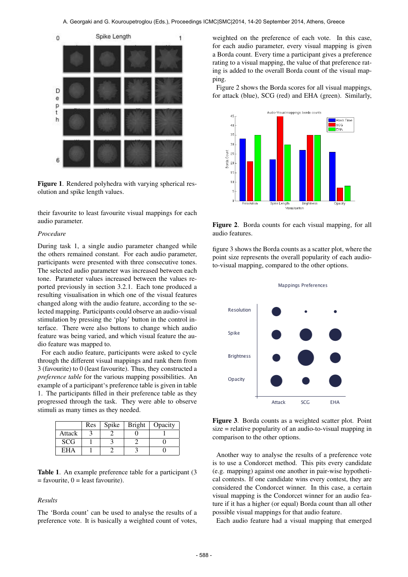

Figure 1. Rendered polyhedra with varying spherical resolution and spike length values.

their favourite to least favourite visual mappings for each audio parameter.

#### *Procedure*

During task 1, a single audio parameter changed while the others remained constant. For each audio parameter, participants were presented with three consecutive tones. The selected audio parameter was increased between each tone. Parameter values increased between the values reported previously in section 3.2.1. Each tone produced a resulting visualisation in which one of the visual features changed along with the audio feature, according to the selected mapping. Participants could observe an audio-visual stimulation by pressing the 'play' button in the control interface. There were also buttons to change which audio feature was being varied, and which visual feature the audio feature was mapped to.

For each audio feature, participants were asked to cycle through the different visual mappings and rank them from 3 (favourite) to 0 (least favourite). Thus, they constructed a *preference table* for the various mapping possibilities. An example of a participant's preference table is given in table 1. The participants filled in their preference table as they progressed through the task. They were able to observe stimuli as many times as they needed.

|            | <b>Res</b> | Spike | Bright   Opacity |
|------------|------------|-------|------------------|
| Attack     |            |       |                  |
| <b>SCG</b> |            |       |                  |
| EHA        |            |       |                  |

Table 1. An example preference table for a participant (3)  $=$  favourite,  $0 =$  least favourite).

#### *Results*

The 'Borda count' can be used to analyse the results of a preference vote. It is basically a weighted count of votes,

weighted on the preference of each vote. In this case, for each audio parameter, every visual mapping is given a Borda count. Every time a participant gives a preference rating to a visual mapping, the value of that preference rating is added to the overall Borda count of the visual mapping.

Figure 2 shows the Borda scores for all visual mappings, for attack (blue), SCG (red) and EHA (green). Similarly,



Figure 2. Borda counts for each visual mapping, for all audio features.

figure 3 shows the Borda counts as a scatter plot, where the point size represents the overall popularity of each audioto-visual mapping, compared to the other options.



Figure 3. Borda counts as a weighted scatter plot. Point size = relative popularity of an audio-to-visual mapping in comparison to the other options.

Another way to analyse the results of a preference vote is to use a Condorcet method. This pits every candidate (e.g. mapping) against one another in pair-wise hypothetical contests. If one candidate wins every contest, they are considered the Condorcet winner. In this case, a certain visual mapping is the Condorcet winner for an audio feature if it has a higher (or equal) Borda count than all other possible visual mappings for that audio feature.

Each audio feature had a visual mapping that emerged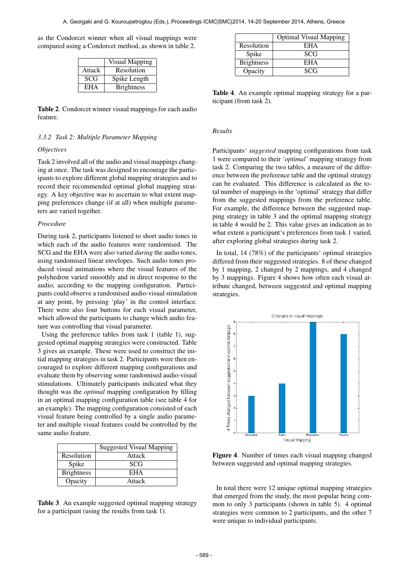as the Condorcet winner when all visual mappings were compared using a Condorcet method, as shown in table 2.

|            | <b>Visual Mapping</b> |
|------------|-----------------------|
| Attack     | Resolution            |
| <b>SCG</b> | Spike Length          |
| <b>EHA</b> | <b>Brightness</b>     |

Table 2. Condorcet winner visual mappings for each audio feature.

## *3.3.2 Task 2: Multiple Parameter Mapping*

#### *Objectives*

Task 2 involved all of the audio and visual mappings changing at once. The task was designed to encourage the participants to explore different global mapping strategies and to record their recommended optimal global mapping strategy. A key objective was to ascertain to what extent mapping preferences change (if at all) when multiple parameters are varied together.

### *Procedure*

During task 2, participants listened to short audio tones in which each of the audio features were randomised. The SCG and the EHA were also varied *during* the audio tones, using randomised linear envelopes. Such audio tones produced visual animations where the visual features of the polyhedron varied smoothly and in direct response to the audio, according to the mapping configuration. Participants could observe a randomised audio-visual stimulation at any point, by pressing 'play' in the control interface. There were also four buttons for each visual parameter, which allowed the participants to change which audio feature was controlling that visual parameter.

Using the preference tables from task 1 (table 1), suggested optimal mapping strategies were constructed. Table 3 gives an example. These were used to construct the initial mapping strategies in task 2. Participants were then encouraged to explore different mapping configurations and evaluate them by observing some randomised audio-visual stimulations. Ultimately participants indicated what they thought was the *optimal* mapping configuration by filling in an optimal mapping configuration table (see table 4 for an example). The mapping configuration consisted of each visual feature being controlled by a single audio parameter and multiple visual features could be controlled by the same audio feature.

|                   | Suggested Visual Mapping |
|-------------------|--------------------------|
| Resolution        | Attack                   |
| Spike             | <b>SCG</b>               |
| <b>Brightness</b> | EHA                      |
| Opacity           | Attack                   |

Table 3. An example suggested optimal mapping strategy for a participant (using the results from task 1).

|                   | <b>Optimal Visual Mapping</b> |
|-------------------|-------------------------------|
| Resolution        | EHA                           |
| Spike             | SCG                           |
| <b>Brightness</b> | EHA                           |
| Opacity           | SCG                           |

Table 4. An example optimal mapping strategy for a participant (from task 2).

## *Results*

Participants' *suggested* mapping configurations from task 1 were compared to their *'optimal'* mapping strategy from task 2. Comparing the two tables, a measure of the difference between the preference table and the optimal strategy can be evaluated. This difference is calculated as the total number of mappings in the 'optimal' strategy that differ from the suggested mappings from the preference table. For example, the difference between the suggested mapping strategy in table 3 and the optimal mapping strategy in table 4 would be 2. This value gives an indication as to what extent a participant's preferences from task 1 varied, after exploring global strategies during task 2.

In total, 14 (78%) of the participants' optimal strategies differed from their suggested strategies. 8 of these changed by 1 mapping, 2 changed by 2 mappings, and 4 changed by 3 mappings. Figure 4 shows how often each visual attribute changed, between suggested and optimal mapping strategies.



Figure 4. Number of times each visual mapping changed between suggested and optimal mapping strategies.

In total there were 12 unique optimal mapping strategies that emerged from the study, the most popular being common to only 3 participants (shown in table 5). 4 optimal strategies were common to 2 participants, and the other 7 were unique to individual participants.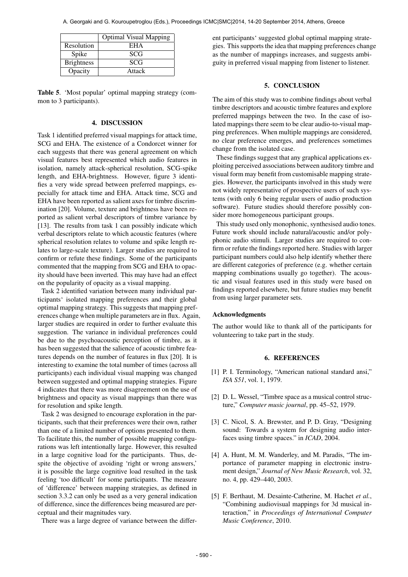|                   | <b>Optimal Visual Mapping</b> |
|-------------------|-------------------------------|
| Resolution        | EHA                           |
| Spike             | <b>SCG</b>                    |
| <b>Brightness</b> | <b>SCG</b>                    |
| Opacity           | Attack                        |

Table 5. 'Most popular' optimal mapping strategy (common to 3 participants).

# 4. DISCUSSION

Task 1 identified preferred visual mappings for attack time, SCG and EHA. The existence of a Condorcet winner for each suggests that there was general agreement on which visual features best represented which audio features in isolation, namely attack-spherical resolution, SCG-spike length, and EHA-brightness. However, figure 3 identifies a very wide spread between preferred mappings, especially for attack time and EHA. Attack time, SCG and EHA have been reported as salient axes for timbre discrimination [20]. Volume, texture and brightness have been reported as salient verbal descriptors of timbre variance by [13]. The results from task 1 can possibly indicate which verbal descriptors relate to which acoustic features (where spherical resolution relates to volume and spike length relates to large-scale texture). Larger studies are required to confirm or refute these findings. Some of the participants commented that the mapping from SCG and EHA to opacity should have been inverted. This may have had an effect on the popularity of opacity as a visual mapping.

Task 2 identified variation between many individual participants' isolated mapping preferences and their global optimal mapping strategy. This suggests that mapping preferences change when multiple parameters are in flux. Again, larger studies are required in order to further evaluate this suggestion. The variance in individual preferences could be due to the psychoacoustic perception of timbre, as it has been suggested that the salience of acoustic timbre features depends on the number of features in flux [20]. It is interesting to examine the total number of times (across all participants) each individual visual mapping was changed between suggested and optimal mapping strategies. Figure 4 indicates that there was more disagreement on the use of brightness and opacity as visual mappings than there was for resolution and spike length.

Task 2 was designed to encourage exploration in the participants, such that their preferences were their own, rather than one of a limited number of options presented to them. To facilitate this, the number of possible mapping configurations was left intentionally large. However, this resulted in a large cognitive load for the participants. Thus, despite the objective of avoiding 'right or wrong answers,' it is possible the large cognitive load resulted in the task feeling 'too difficult' for some participants. The measure of 'difference' between mapping strategies, as defined in section 3.3.2 can only be used as a very general indication of difference, since the differences being measured are perceptual and their magnitudes vary.

There was a large degree of variance between the differ-

ent participants' suggested global optimal mapping strategies. This supports the idea that mapping preferences change as the number of mappings increases, and suggests ambiguity in preferred visual mapping from listener to listener.

#### 5. CONCLUSION

The aim of this study was to combine findings about verbal timbre descriptors and acoustic timbre features and explore preferred mappings between the two. In the case of isolated mappings there seem to be clear audio-to-visual mapping preferences. When multiple mappings are considered, no clear preference emerges, and preferences sometimes change from the isolated case.

These findings suggest that any graphical applications exploiting perceived associations between auditory timbre and visual form may benefit from customisable mapping strategies. However, the participants involved in this study were not widely representative of prospective users of such systems (with only 6 being regular users of audio production software). Future studies should therefore possibly consider more homogeneous participant groups.

This study used only monophonic, synthesised audio tones. Future work should include natural/acoustic and/or polyphonic audio stimuli. Larger studies are required to confirm or refute the findings reported here. Studies with larger participant numbers could also help identify whether there are different categories of preference (e.g. whether certain mapping combinations usually go together). The acoustic and visual features used in this study were based on findings reported elsewhere, but future studies may benefit from using larger parameter sets.

#### Acknowledgments

The author would like to thank all of the participants for volunteering to take part in the study.

# 6. REFERENCES

- [1] P. I. Terminology, "American national standard ansi," *ISA S51*, vol. 1, 1979.
- [2] D. L. Wessel, "Timbre space as a musical control structure," *Computer music journal*, pp. 45–52, 1979.
- [3] C. Nicol, S. A. Brewster, and P. D. Gray, "Designing sound: Towards a system for designing audio interfaces using timbre spaces." in *ICAD*, 2004.
- [4] A. Hunt, M. M. Wanderley, and M. Paradis, "The importance of parameter mapping in electronic instrument design," *Journal of New Music Research*, vol. 32, no. 4, pp. 429–440, 2003.
- [5] F. Berthaut, M. Desainte-Catherine, M. Hachet *et al.*, "Combining audiovisual mappings for 3d musical interaction," in *Proceedings of International Computer Music Conference*, 2010.